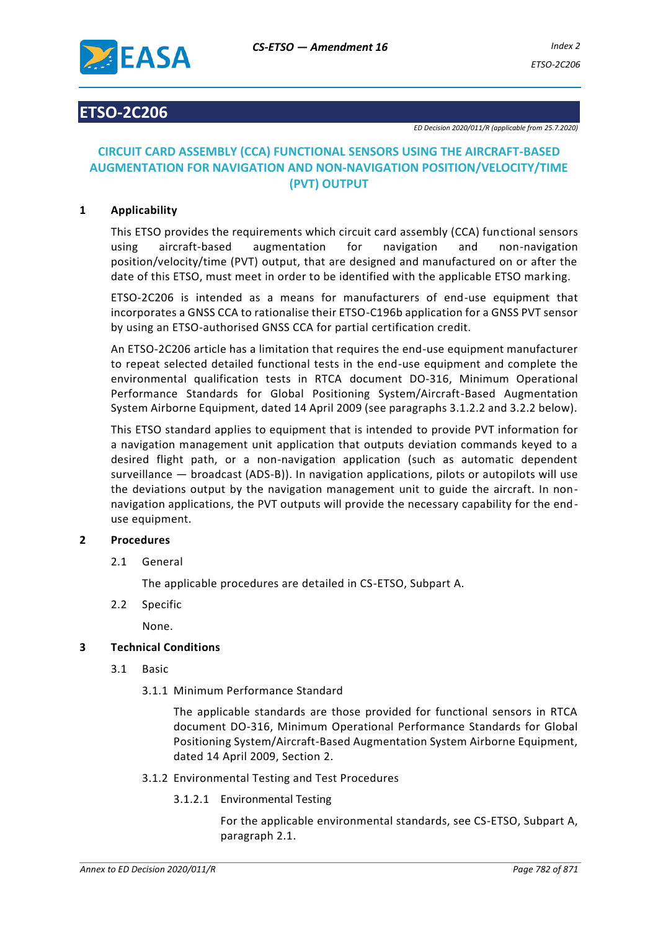

# **ETSO-2C206**

*ED Decision 2020/011/R (applicable from 25.7.2020)*

# **CIRCUIT CARD ASSEMBLY (CCA) FUNCTIONAL SENSORS USING THE AIRCRAFT-BASED AUGMENTATION FOR NAVIGATION AND NON-NAVIGATION POSITION/VELOCITY/TIME (PVT) OUTPUT**

## **1 Applicability**

This ETSO provides the requirements which circuit card assembly (CCA) functional sensors using aircraft-based augmentation for navigation and non-navigation position/velocity/time (PVT) output, that are designed and manufactured on or after the date of this ETSO, must meet in order to be identified with the applicable ETSO mark ing.

ETSO-2C206 is intended as a means for manufacturers of end-use equipment that incorporates a GNSS CCA to rationalise their ETSO-C196b application for a GNSS PVT sensor by using an ETSO-authorised GNSS CCA for partial certification credit.

An ETSO-2C206 article has a limitation that requires the end-use equipment manufacturer to repeat selected detailed functional tests in the end-use equipment and complete the environmental qualification tests in RTCA document DO-316, Minimum Operational Performance Standards for Global Positioning System/Aircraft-Based Augmentation System Airborne Equipment, dated 14 April 2009 (see paragraphs 3.1.2.2 and 3.2.2 below).

This ETSO standard applies to equipment that is intended to provide PVT information for a navigation management unit application that outputs deviation commands keyed to a desired flight path, or a non-navigation application (such as automatic dependent surveillance — broadcast (ADS-B)). In navigation applications, pilots or autopilots will use the deviations output by the navigation management unit to guide the aircraft. In nonnavigation applications, the PVT outputs will provide the necessary capability for the enduse equipment.

# **2 Procedures**

2.1 General

The applicable procedures are detailed in CS-ETSO, Subpart A.

2.2 Specific

None.

## **3 Technical Conditions**

- 3.1 Basic
	- 3.1.1 Minimum Performance Standard

The applicable standards are those provided for functional sensors in RTCA document DO-316, Minimum Operational Performance Standards for Global Positioning System/Aircraft-Based Augmentation System Airborne Equipment, dated 14 April 2009, Section 2.

- 3.1.2 Environmental Testing and Test Procedures
	- 3.1.2.1 Environmental Testing

For the applicable environmental standards, see CS-ETSO, Subpart A, paragraph 2.1.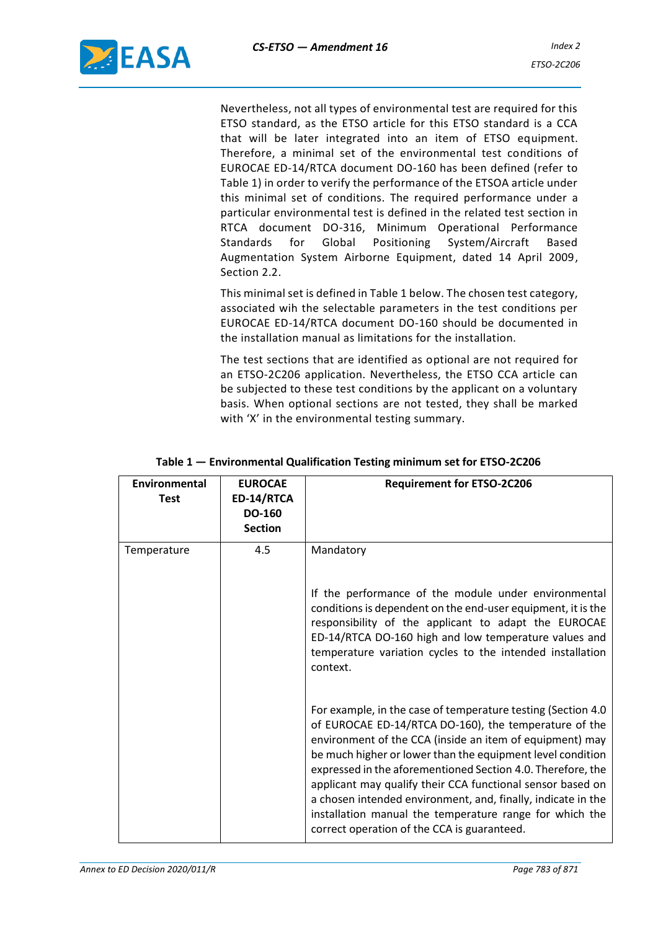Nevertheless, not all types of environmental test are required for this ETSO standard, as the ETSO article for this ETSO standard is a CCA that will be later integrated into an item of ETSO equipment. Therefore, a minimal set of the environmental test conditions of EUROCAE ED-14/RTCA document DO-160 has been defined (refer to Table 1) in order to verify the performance of the ETSOA article under this minimal set of conditions. The required performance under a particular environmental test is defined in the related test section in RTCA document DO-316, Minimum Operational Performance Standards for Global Positioning System/Aircraft Based Augmentation System Airborne Equipment, dated 14 April 2009, Section 2.2.

This minimal set is defined in Table 1 below. The chosen test category, associated wih the selectable parameters in the test conditions per EUROCAE ED-14/RTCA document DO-160 should be documented in the installation manual as limitations for the installation.

The test sections that are identified as optional are not required for an ETSO-2C206 application. Nevertheless, the ETSO CCA article can be subjected to these test conditions by the applicant on a voluntary basis. When optional sections are not tested, they shall be marked with 'X' in the environmental testing summary.

| Environmental<br><b>Test</b> | <b>EUROCAE</b><br>ED-14/RTCA<br><b>DO-160</b><br><b>Section</b> | <b>Requirement for ETSO-2C206</b>                                                                                                                                                                                                                                                                                                                                                                                                                                                                                                                      |
|------------------------------|-----------------------------------------------------------------|--------------------------------------------------------------------------------------------------------------------------------------------------------------------------------------------------------------------------------------------------------------------------------------------------------------------------------------------------------------------------------------------------------------------------------------------------------------------------------------------------------------------------------------------------------|
| Temperature                  | 4.5                                                             | Mandatory<br>If the performance of the module under environmental<br>conditions is dependent on the end-user equipment, it is the<br>responsibility of the applicant to adapt the EUROCAE<br>ED-14/RTCA DO-160 high and low temperature values and<br>temperature variation cycles to the intended installation<br>context.                                                                                                                                                                                                                            |
|                              |                                                                 | For example, in the case of temperature testing (Section 4.0<br>of EUROCAE ED-14/RTCA DO-160), the temperature of the<br>environment of the CCA (inside an item of equipment) may<br>be much higher or lower than the equipment level condition<br>expressed in the aforementioned Section 4.0. Therefore, the<br>applicant may qualify their CCA functional sensor based on<br>a chosen intended environment, and, finally, indicate in the<br>installation manual the temperature range for which the<br>correct operation of the CCA is guaranteed. |

#### **Table 1 — Environmental Qualification Testing minimum set for ETSO-2C206**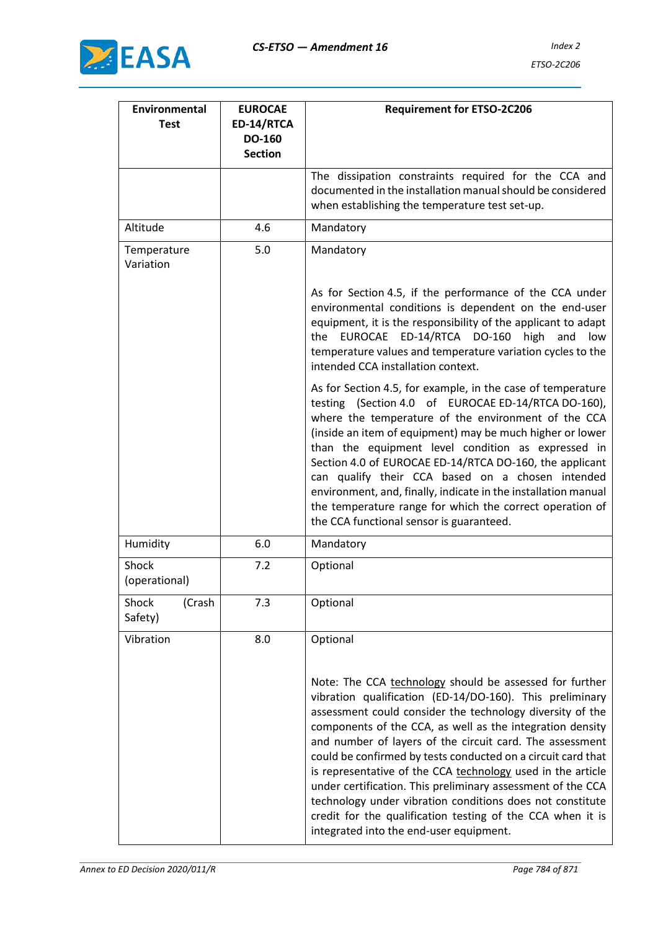

| Environmental<br><b>Test</b> | <b>EUROCAE</b><br>ED-14/RTCA<br><b>DO-160</b><br><b>Section</b> | <b>Requirement for ETSO-2C206</b>                                                                                                                                                                                                                                                                                                                                                                                                                                                                                                                                                                                                                                             |
|------------------------------|-----------------------------------------------------------------|-------------------------------------------------------------------------------------------------------------------------------------------------------------------------------------------------------------------------------------------------------------------------------------------------------------------------------------------------------------------------------------------------------------------------------------------------------------------------------------------------------------------------------------------------------------------------------------------------------------------------------------------------------------------------------|
|                              |                                                                 | The dissipation constraints required for the CCA and<br>documented in the installation manual should be considered<br>when establishing the temperature test set-up.                                                                                                                                                                                                                                                                                                                                                                                                                                                                                                          |
| Altitude                     | 4.6                                                             | Mandatory                                                                                                                                                                                                                                                                                                                                                                                                                                                                                                                                                                                                                                                                     |
| Temperature<br>Variation     | 5.0                                                             | Mandatory                                                                                                                                                                                                                                                                                                                                                                                                                                                                                                                                                                                                                                                                     |
|                              |                                                                 | As for Section 4.5, if the performance of the CCA under<br>environmental conditions is dependent on the end-user<br>equipment, it is the responsibility of the applicant to adapt<br>ED-14/RTCA<br>DO-160<br><b>EUROCAE</b><br>high<br>and<br>low<br>the<br>temperature values and temperature variation cycles to the<br>intended CCA installation context.                                                                                                                                                                                                                                                                                                                  |
|                              |                                                                 | As for Section 4.5, for example, in the case of temperature<br>testing (Section 4.0 of EUROCAE ED-14/RTCA DO-160),<br>where the temperature of the environment of the CCA<br>(inside an item of equipment) may be much higher or lower<br>than the equipment level condition as expressed in<br>Section 4.0 of EUROCAE ED-14/RTCA DO-160, the applicant<br>can qualify their CCA based on a chosen intended<br>environment, and, finally, indicate in the installation manual<br>the temperature range for which the correct operation of<br>the CCA functional sensor is guaranteed.                                                                                         |
| Humidity                     | 6.0                                                             | Mandatory                                                                                                                                                                                                                                                                                                                                                                                                                                                                                                                                                                                                                                                                     |
| Shock<br>(operational)       | 7.2                                                             | Optional                                                                                                                                                                                                                                                                                                                                                                                                                                                                                                                                                                                                                                                                      |
| Shock<br>(Crash<br>Safety)   | 7.3                                                             | Optional                                                                                                                                                                                                                                                                                                                                                                                                                                                                                                                                                                                                                                                                      |
| Vibration                    | 8.0                                                             | Optional                                                                                                                                                                                                                                                                                                                                                                                                                                                                                                                                                                                                                                                                      |
|                              |                                                                 | Note: The CCA technology should be assessed for further<br>vibration qualification (ED-14/DO-160). This preliminary<br>assessment could consider the technology diversity of the<br>components of the CCA, as well as the integration density<br>and number of layers of the circuit card. The assessment<br>could be confirmed by tests conducted on a circuit card that<br>is representative of the CCA technology used in the article<br>under certification. This preliminary assessment of the CCA<br>technology under vibration conditions does not constitute<br>credit for the qualification testing of the CCA when it is<br>integrated into the end-user equipment. |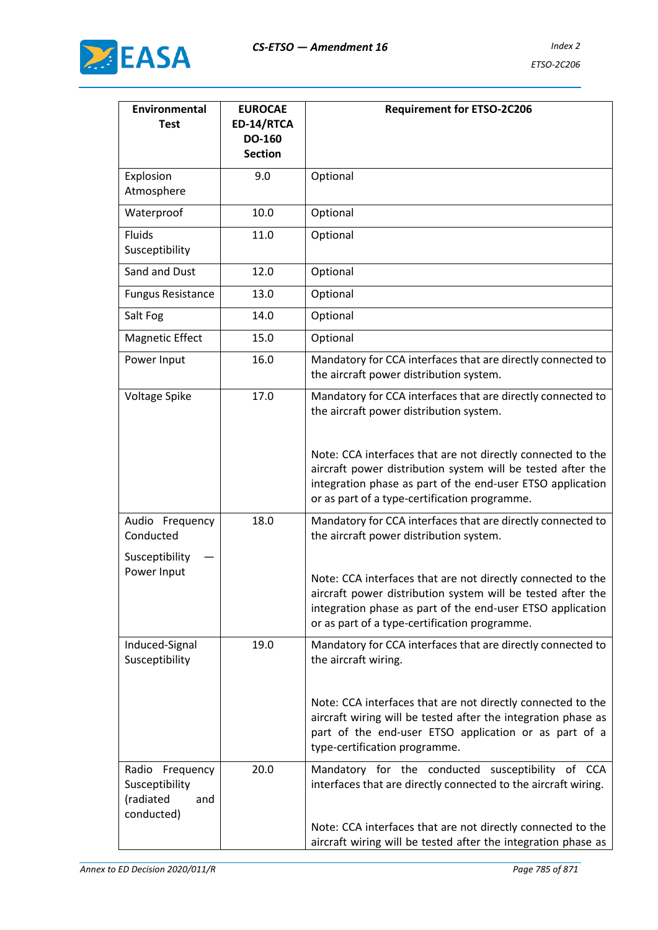

| <b>Environmental</b><br><b>Test</b>                                    | <b>EUROCAE</b><br>ED-14/RTCA<br><b>DO-160</b><br><b>Section</b> | <b>Requirement for ETSO-2C206</b>                                                                                                                                                                                                         |
|------------------------------------------------------------------------|-----------------------------------------------------------------|-------------------------------------------------------------------------------------------------------------------------------------------------------------------------------------------------------------------------------------------|
| Explosion<br>Atmosphere                                                | 9.0                                                             | Optional                                                                                                                                                                                                                                  |
| Waterproof                                                             | 10.0                                                            | Optional                                                                                                                                                                                                                                  |
| Fluids<br>Susceptibility                                               | 11.0                                                            | Optional                                                                                                                                                                                                                                  |
| Sand and Dust                                                          | 12.0                                                            | Optional                                                                                                                                                                                                                                  |
| <b>Fungus Resistance</b>                                               | 13.0                                                            | Optional                                                                                                                                                                                                                                  |
| Salt Fog                                                               | 14.0                                                            | Optional                                                                                                                                                                                                                                  |
| <b>Magnetic Effect</b>                                                 | 15.0                                                            | Optional                                                                                                                                                                                                                                  |
| Power Input                                                            | 16.0                                                            | Mandatory for CCA interfaces that are directly connected to<br>the aircraft power distribution system.                                                                                                                                    |
| Voltage Spike                                                          | 17.0                                                            | Mandatory for CCA interfaces that are directly connected to<br>the aircraft power distribution system.                                                                                                                                    |
|                                                                        |                                                                 | Note: CCA interfaces that are not directly connected to the<br>aircraft power distribution system will be tested after the<br>integration phase as part of the end-user ETSO application<br>or as part of a type-certification programme. |
| Audio Frequency<br>Conducted                                           | 18.0                                                            | Mandatory for CCA interfaces that are directly connected to<br>the aircraft power distribution system.                                                                                                                                    |
| Susceptibility<br>Power Input                                          |                                                                 | Note: CCA interfaces that are not directly connected to the<br>aircraft power distribution system will be tested after the<br>integration phase as part of the end-user ETSO application<br>or as part of a type-certification programme. |
| Induced-Signal<br>Susceptibility                                       | 19.0                                                            | Mandatory for CCA interfaces that are directly connected to<br>the aircraft wiring.                                                                                                                                                       |
|                                                                        |                                                                 | Note: CCA interfaces that are not directly connected to the<br>aircraft wiring will be tested after the integration phase as<br>part of the end-user ETSO application or as part of a<br>type-certification programme.                    |
| Radio<br>Frequency<br>Susceptibility<br>(radiated<br>and<br>conducted) | 20.0                                                            | Mandatory for the conducted susceptibility of CCA<br>interfaces that are directly connected to the aircraft wiring.                                                                                                                       |
|                                                                        |                                                                 | Note: CCA interfaces that are not directly connected to the<br>aircraft wiring will be tested after the integration phase as                                                                                                              |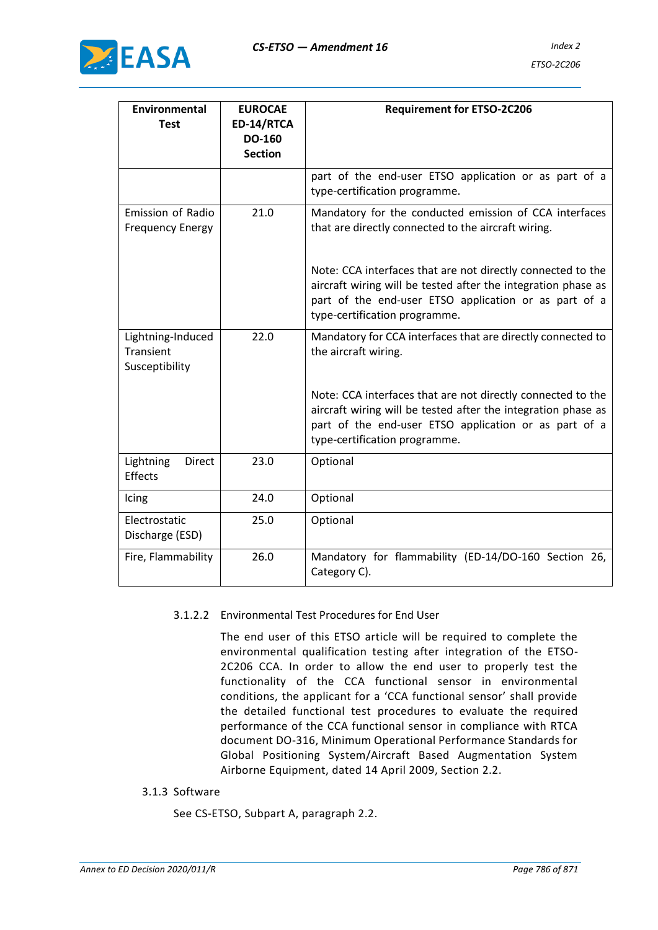

| <b>Environmental</b><br><b>Test</b>                 | <b>EUROCAE</b><br>ED-14/RTCA<br>DO-160<br><b>Section</b> | <b>Requirement for ETSO-2C206</b>                                                                                                                                                                                      |
|-----------------------------------------------------|----------------------------------------------------------|------------------------------------------------------------------------------------------------------------------------------------------------------------------------------------------------------------------------|
|                                                     |                                                          | part of the end-user ETSO application or as part of a<br>type-certification programme.                                                                                                                                 |
| <b>Emission of Radio</b><br><b>Frequency Energy</b> | 21.0                                                     | Mandatory for the conducted emission of CCA interfaces<br>that are directly connected to the aircraft wiring.                                                                                                          |
|                                                     |                                                          | Note: CCA interfaces that are not directly connected to the<br>aircraft wiring will be tested after the integration phase as<br>part of the end-user ETSO application or as part of a<br>type-certification programme. |
| Lightning-Induced<br>Transient<br>Susceptibility    | 22.0                                                     | Mandatory for CCA interfaces that are directly connected to<br>the aircraft wiring.                                                                                                                                    |
|                                                     |                                                          | Note: CCA interfaces that are not directly connected to the<br>aircraft wiring will be tested after the integration phase as<br>part of the end-user ETSO application or as part of a<br>type-certification programme. |
| Lightning<br><b>Direct</b><br><b>Effects</b>        | 23.0                                                     | Optional                                                                                                                                                                                                               |
| Icing                                               | 24.0                                                     | Optional                                                                                                                                                                                                               |
| Electrostatic<br>Discharge (ESD)                    | 25.0                                                     | Optional                                                                                                                                                                                                               |
| Fire, Flammability                                  | 26.0                                                     | Mandatory for flammability (ED-14/DO-160 Section 26,<br>Category C).                                                                                                                                                   |

## 3.1.2.2 Environmental Test Procedures for End User

The end user of this ETSO article will be required to complete the environmental qualification testing after integration of the ETSO-2C206 CCA. In order to allow the end user to properly test the functionality of the CCA functional sensor in environmental conditions, the applicant for a 'CCA functional sensor' shall provide the detailed functional test procedures to evaluate the required performance of the CCA functional sensor in compliance with RTCA document DO-316, Minimum Operational Performance Standards for Global Positioning System/Aircraft Based Augmentation System Airborne Equipment, dated 14 April 2009, Section 2.2.

3.1.3 Software

See CS-ETSO, Subpart A, paragraph 2.2.